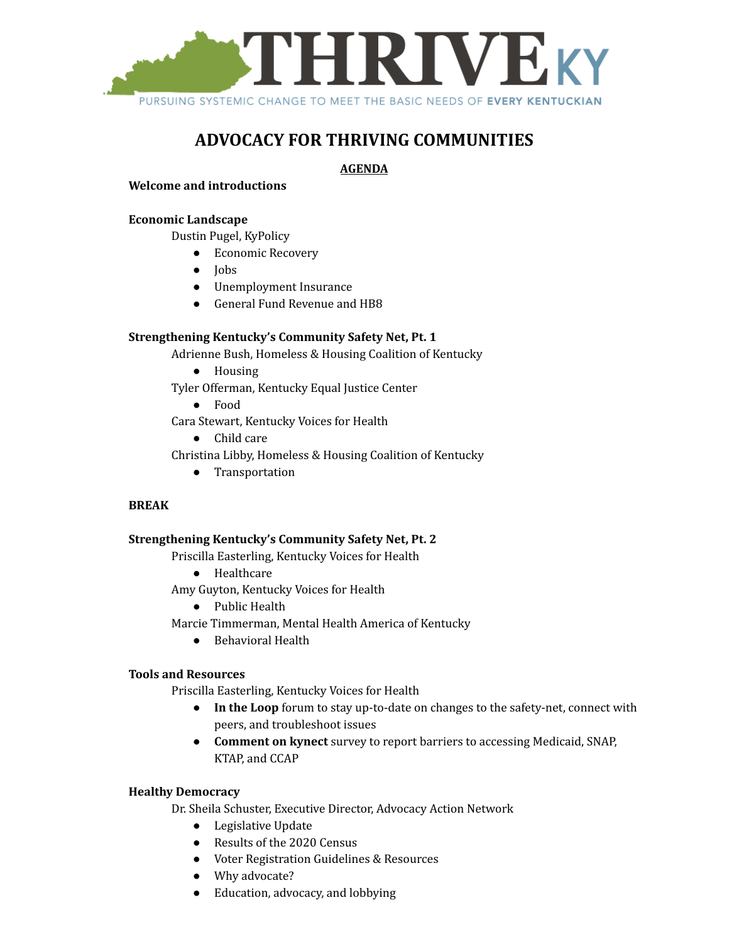

# **ADVOCACY FOR THRIVING COMMUNITIES**

## **AGENDA**

## **Welcome and introductions**

## **Economic Landscape**

Dustin Pugel, KyPolicy

- Economic Recovery
- Jobs
- Unemployment Insurance
- General Fund Revenue and HB8

## **Strengthening Kentucky's Community Safety Net, Pt. 1**

Adrienne Bush, Homeless & Housing Coalition of Kentucky

- Housing
- Tyler Offerman, Kentucky Equal Justice Center
	- Food

Cara Stewart, Kentucky Voices for Health

● Child care

Christina Libby, Homeless & Housing Coalition of Kentucky

● Transportation

#### **BREAK**

#### **Strengthening Kentucky's Community Safety Net, Pt. 2**

Priscilla Easterling, Kentucky Voices for Health

● Healthcare

Amy Guyton, Kentucky Voices for Health

- Public Health
- Marcie Timmerman, Mental Health America of Kentucky
	- Behavioral Health

#### **Tools and Resources**

Priscilla Easterling, Kentucky Voices for Health

- **In the Loop** forum to stay up-to-date on changes to the safety-net, connect with peers, and troubleshoot issues
- **Comment on kynect** survey to report barriers to accessing Medicaid, SNAP, KTAP, and CCAP

#### **Healthy Democracy**

Dr. Sheila Schuster, Executive Director, Advocacy Action Network

- Legislative Update
- Results of the 2020 Census
- Voter Registration Guidelines & Resources
- Why advocate?
- Education, advocacy, and lobbying